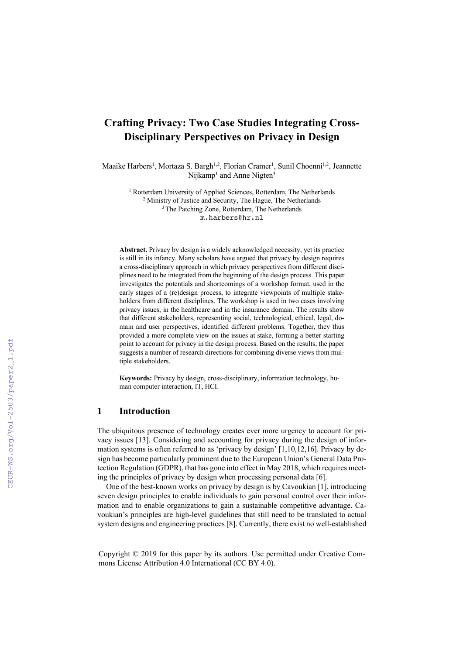# **Crafting Privacy: Two Case Studies Integrating Cross-Disciplinary Perspectives on Privacy in Design**

Maaike Harbers<sup>1</sup>, Mortaza S. Bargh<sup>1,2</sup>, Florian Cramer<sup>1</sup>, Sunil Choenni<sup>1,2</sup>, Jeannette Nijkamp<sup>1</sup> and Anne Nigten<sup>3</sup>

> <sup>1</sup> Rotterdam University of Applied Sciences, Rotterdam, The Netherlands <sup>2</sup> Ministry of Justice and Security, The Hague, The Netherlands <sup>3</sup> The Patching Zone, Rotterdam, The Netherlands m.harbers@hr.nl

**Abstract.** Privacy by design is a widely acknowledged necessity, yet its practice is still in its infancy. Many scholars have argued that privacy by design requires a cross-disciplinary approach in which privacy perspectives from different disciplines need to be integrated from the beginning of the design process. This paper investigates the potentials and shortcomings of a workshop format, used in the early stages of a (re)design process, to integrate viewpoints of multiple stakeholders from different disciplines. The workshop is used in two cases involving privacy issues, in the healthcare and in the insurance domain. The results show that different stakeholders, representing social, technological, ethical, legal, domain and user perspectives, identified different problems. Together, they thus provided a more complete view on the issues at stake, forming a better starting point to account for privacy in the design process. Based on the results, the paper suggests a number of research directions for combining diverse views from multiple stakeholders.

**Keywords:** Privacy by design, cross-disciplinary, information technology, human computer interaction, IT, HCI.

## **1 Introduction**

The ubiquitous presence of technology creates ever more urgency to account for privacy issues [13]. Considering and accounting for privacy during the design of information systems is often referred to as 'privacy by design' [1,10,12,16]. Privacy by design has become particularly prominent due to the European Union's General Data Protection Regulation (GDPR), that has gone into effect in May 2018, which requires meeting the principles of privacy by design when processing personal data [6].

One of the best-known works on privacy by design is by Cavoukian [1], introducing seven design principles to enable individuals to gain personal control over their information and to enable organizations to gain a sustainable competitive advantage. Cavoukian's principles are high-level guidelines that still need to be translated to actual system designs and engineering practices [8]. Currently, there exist no well-established

Copyright © 2019 for this paper by its authors. Use permitted under Creative Commons License Attribution 4.0 International (CC BY 4.0).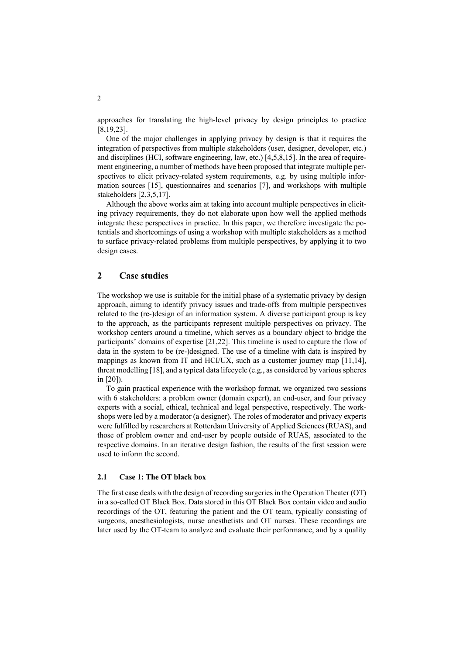approaches for translating the high-level privacy by design principles to practice [8,19,23].

One of the major challenges in applying privacy by design is that it requires the integration of perspectives from multiple stakeholders (user, designer, developer, etc.) and disciplines (HCI, software engineering, law, etc.) [4,5,8,15]. In the area of requirement engineering, a number of methods have been proposed that integrate multiple perspectives to elicit privacy-related system requirements, e.g. by using multiple information sources [15], questionnaires and scenarios [7], and workshops with multiple stakeholders [2,3,5,17].

Although the above works aim at taking into account multiple perspectives in eliciting privacy requirements, they do not elaborate upon how well the applied methods integrate these perspectives in practice. In this paper, we therefore investigate the potentials and shortcomings of using a workshop with multiple stakeholders as a method to surface privacy-related problems from multiple perspectives, by applying it to two design cases.

### **2 Case studies**

The workshop we use is suitable for the initial phase of a systematic privacy by design approach, aiming to identify privacy issues and trade-offs from multiple perspectives related to the (re-)design of an information system. A diverse participant group is key to the approach, as the participants represent multiple perspectives on privacy. The workshop centers around a timeline, which serves as a boundary object to bridge the participants' domains of expertise [21,22]. This timeline is used to capture the flow of data in the system to be (re-)designed. The use of a timeline with data is inspired by mappings as known from IT and HCI/UX, such as a customer journey map [11,14], threat modelling [18], and a typical data lifecycle (e.g., as considered by various spheres in [20]).

To gain practical experience with the workshop format, we organized two sessions with 6 stakeholders: a problem owner (domain expert), an end-user, and four privacy experts with a social, ethical, technical and legal perspective, respectively. The workshops were led by a moderator (a designer). The roles of moderator and privacy experts were fulfilled by researchers at Rotterdam University of Applied Sciences (RUAS), and those of problem owner and end-user by people outside of RUAS, associated to the respective domains. In an iterative design fashion, the results of the first session were used to inform the second.

#### **2.1 Case 1: The OT black box**

The first case deals with the design of recording surgeries in the Operation Theater (OT) in a so-called OT Black Box. Data stored in this OT Black Box contain video and audio recordings of the OT, featuring the patient and the OT team, typically consisting of surgeons, anesthesiologists, nurse anesthetists and OT nurses. These recordings are later used by the OT-team to analyze and evaluate their performance, and by a quality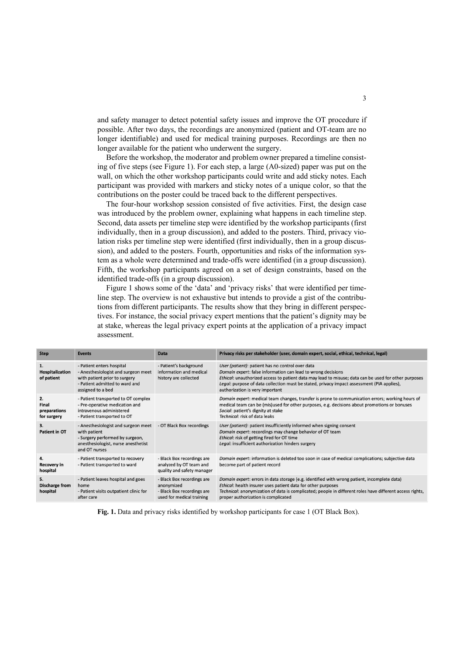and safety manager to detect potential safety issues and improve the OT procedure if possible. After two days, the recordings are anonymized (patient and OT-team are no longer identifiable) and used for medical training purposes. Recordings are then no longer available for the patient who underwent the surgery.

Before the workshop, the moderator and problem owner prepared a timeline consisting of five steps (see Figure 1). For each step, a large (A0-sized) paper was put on the wall, on which the other workshop participants could write and add sticky notes. Each participant was provided with markers and sticky notes of a unique color, so that the contributions on the poster could be traced back to the different perspectives.

The four-hour workshop session consisted of five activities. First, the design case was introduced by the problem owner, explaining what happens in each timeline step. Second, data assets per timeline step were identified by the workshop participants (first individually, then in a group discussion), and added to the posters. Third, privacy violation risks per timeline step were identified (first individually, then in a group discussion), and added to the posters. Fourth, opportunities and risks of the information system as a whole were determined and trade-offs were identified (in a group discussion). Fifth, the workshop participants agreed on a set of design constraints, based on the identified trade-offs (in a group discussion).

Figure 1 shows some of the 'data' and 'privacy risks' that were identified per timeline step. The overview is not exhaustive but intends to provide a gist of the contributions from different participants. The results show that they bring in different perspectives. For instance, the social privacy expert mentions that the patient's dignity may be at stake, whereas the legal privacy expert points at the application of a privacy impact assessment.

| <b>Step</b>                                | <b>Events</b>                                                                                                                                            | Data                                                                                                | Privacy risks per stakeholder (user, domain expert, social, ethical, technical, legal)                                                                                                                                                                                                                                                                    |
|--------------------------------------------|----------------------------------------------------------------------------------------------------------------------------------------------------------|-----------------------------------------------------------------------------------------------------|-----------------------------------------------------------------------------------------------------------------------------------------------------------------------------------------------------------------------------------------------------------------------------------------------------------------------------------------------------------|
| 1.<br>Hospitalization<br>of patient        | - Patient enters hospital<br>- Anesthesiologist and surgeon meet<br>with patient prior to surgery<br>- Patient admitted to ward and<br>assigned to a bed | - Patient's background<br>information and medical<br>history are collected                          | User (patient): patient has no control over data<br>Domain expert: false information can lead to wrong decisions<br>Ethical: unauthorized access to patient data may lead to misuse; data can be used for other purposes<br>Legal: purpose of data collection must be stated, privacy impact assessment (PIA applies),<br>authorization is very important |
| 2.<br>Final<br>preparations<br>for surgery | - Patient transported to OT complex<br>- Pre-operative medication and<br>intravenous administered<br>- Patient transported to OT                         |                                                                                                     | Domain expert: medical team changes, transfer is prone to communication errors; working hours of<br>medical team can be (mis)used for other purposes, e.g. decisions about promotions or bonuses<br>Social: patient's dignity at stake<br>Technical: risk of data leaks                                                                                   |
| 3.<br>Patient in OT                        | - Anesthesiologist and surgeon meet<br>with patient<br>- Surgery performed by surgeon,<br>anesthesiologist, nurse anesthetist<br>and OT nurses           | - OT Black Box recordings                                                                           | User (patient): patient insufficiently informed when signing consent<br>Domain expert: recordings may change behavior of OT team<br>Ethical: risk of getting fired for OT time<br>Legal: insufficient authorization hinders surgery                                                                                                                       |
| 4.<br>Recovery in<br>hospital              | - Patient transported to recovery<br>- Patient transported to ward                                                                                       | - Black Box recordings are<br>analyzed by OT team and<br>quality and safety manager                 | Domain expert: information is deleted too soon in case of medical complications; subjective data<br>become part of patient record                                                                                                                                                                                                                         |
| 5.<br>Discharge from<br>hospital           | - Patient leaves hospital and goes<br>home<br>- Patient visits outpatient clinic for<br>after care                                                       | - Black Box recordings are<br>anonymized<br>- Black Box recordings are<br>used for medical training | Domain expert: errors in data storage (e.g. identified with wrong patient, incomplete data)<br>Ethical: health insurer uses patient data for other purposes<br>Technical: anonymization of data is complicated; people in different roles have different access rights,<br>proper authorization is complicated                                            |

**Fig. 1.** Data and privacy risks identified by workshop participants for case 1 (OT Black Box).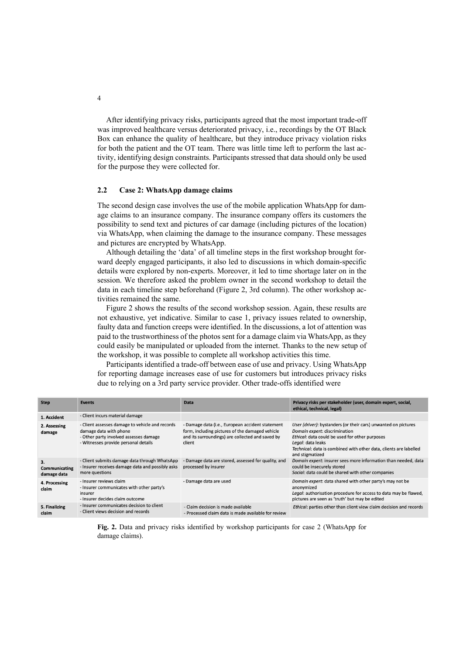After identifying privacy risks, participants agreed that the most important trade-off was improved healthcare versus deteriorated privacy, i.e., recordings by the OT Black Box can enhance the quality of healthcare, but they introduce privacy violation risks for both the patient and the OT team. There was little time left to perform the last activity, identifying design constraints. Participants stressed that data should only be used for the purpose they were collected for.

#### **2.2 Case 2: WhatsApp damage claims**

The second design case involves the use of the mobile application WhatsApp for damage claims to an insurance company. The insurance company offers its customers the possibility to send text and pictures of car damage (including pictures of the location) via WhatsApp, when claiming the damage to the insurance company. These messages and pictures are encrypted by WhatsApp.

Although detailing the 'data' of all timeline steps in the first workshop brought forward deeply engaged participants, it also led to discussions in which domain-specific details were explored by non-experts. Moreover, it led to time shortage later on in the session. We therefore asked the problem owner in the second workshop to detail the data in each timeline step beforehand (Figure 2, 3rd column). The other workshop activities remained the same.

Figure 2 shows the results of the second workshop session. Again, these results are not exhaustive, yet indicative. Similar to case 1, privacy issues related to ownership, faulty data and function creeps were identified. In the discussions, a lot of attention was paid to the trustworthiness of the photos sent for a damage claim via WhatsApp, as they could easily be manipulated or uploaded from the internet. Thanks to the new setup of the workshop, it was possible to complete all workshop activities this time.

Participants identified a trade-off between ease of use and privacy. Using WhatsApp for reporting damage increases ease of use for customers but introduces privacy risks due to relying on a 3rd party service provider. Other trade-offs identified were

| <b>Step</b>                        | <b>Events</b>                                                                                                                                               | Data                                                                                                                                                              | Privacy risks per stakeholder (user, domain expert, social,<br>ethical, technical, legal)                                                                                                                                                                      |
|------------------------------------|-------------------------------------------------------------------------------------------------------------------------------------------------------------|-------------------------------------------------------------------------------------------------------------------------------------------------------------------|----------------------------------------------------------------------------------------------------------------------------------------------------------------------------------------------------------------------------------------------------------------|
| 1. Accident                        | - Client incurs material damage                                                                                                                             |                                                                                                                                                                   |                                                                                                                                                                                                                                                                |
| 2. Assessing<br>damage             | - Client assesses damage to vehicle and records<br>damage data with phone<br>- Other party involved assesses damage<br>- Witnesses provide personal details | - Damage data (i.e., European accident statement<br>form, including pictures of the damaged vehicle<br>and its surroundings) are collected and saved by<br>client | User (driver): bystanders (or their cars) unwanted on pictures<br>Domain expert: discrimination<br>Ethical: data could be used for other purposes<br>Legal: data leaks<br>Technical: data is combined with other data, clients are labelled<br>and stigmatized |
| 3.<br>Communicating<br>damage data | - Client submits damage data through WhatsApp<br>- Insurer receives damage data and possibly asks<br>more questions                                         | - Damage data are stored, assessed for quality, and<br>processed by insurer                                                                                       | Domain expert: insurer sees more information than needed, data<br>could be insecurely stored<br>Social: data could be shared with other companies                                                                                                              |
| 4. Processing<br>claim             | - Insurer reviews claim<br>- Insurer communicates with other party's<br>insurer<br>- Insurer decides claim outcome                                          | - Damage data are used                                                                                                                                            | Domain expert: data shared with other party's may not be<br>anonymized<br>Legal: authorisation procedure for access to data may be flawed,<br>pictures are seen as 'truth' but may be edited                                                                   |
| 5. Finalizing<br>claim             | - Insurer communicates decision to client<br>- Client views decision and records                                                                            | - Claim decision is made available<br>- Processed claim data is made available for review                                                                         | Ethical: parties other than client view claim decision and records                                                                                                                                                                                             |

**Fig. 2.** Data and privacy risks identified by workshop participants for case 2 (WhatsApp for damage claims).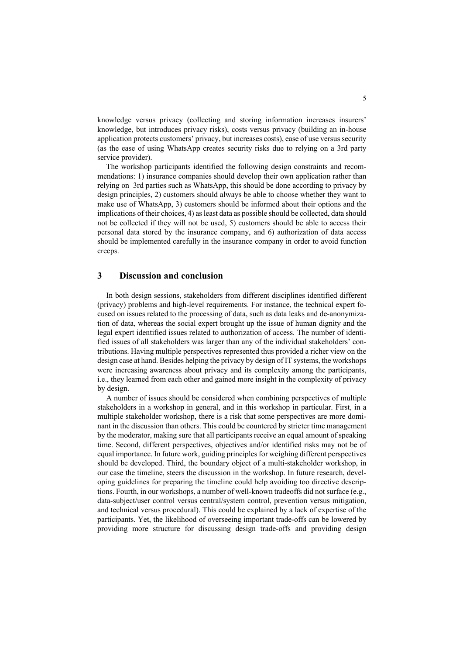knowledge versus privacy (collecting and storing information increases insurers' knowledge, but introduces privacy risks), costs versus privacy (building an in-house application protects customers' privacy, but increases costs), ease of use versus security (as the ease of using WhatsApp creates security risks due to relying on a 3rd party service provider).

The workshop participants identified the following design constraints and recommendations: 1) insurance companies should develop their own application rather than relying on 3rd parties such as WhatsApp, this should be done according to privacy by design principles, 2) customers should always be able to choose whether they want to make use of WhatsApp, 3) customers should be informed about their options and the implications of their choices, 4) as least data as possible should be collected, data should not be collected if they will not be used, 5) customers should be able to access their personal data stored by the insurance company, and 6) authorization of data access should be implemented carefully in the insurance company in order to avoid function creeps.

## **3 Discussion and conclusion**

In both design sessions, stakeholders from different disciplines identified different (privacy) problems and high-level requirements. For instance, the technical expert focused on issues related to the processing of data, such as data leaks and de-anonymization of data, whereas the social expert brought up the issue of human dignity and the legal expert identified issues related to authorization of access. The number of identified issues of all stakeholders was larger than any of the individual stakeholders' contributions. Having multiple perspectives represented thus provided a richer view on the design case at hand. Besides helping the privacy by design of IT systems, the workshops were increasing awareness about privacy and its complexity among the participants, i.e., they learned from each other and gained more insight in the complexity of privacy by design.

A number of issues should be considered when combining perspectives of multiple stakeholders in a workshop in general, and in this workshop in particular. First, in a multiple stakeholder workshop, there is a risk that some perspectives are more dominant in the discussion than others. This could be countered by stricter time management by the moderator, making sure that all participants receive an equal amount of speaking time. Second, different perspectives, objectives and/or identified risks may not be of equal importance. In future work, guiding principles for weighing different perspectives should be developed. Third, the boundary object of a multi-stakeholder workshop, in our case the timeline, steers the discussion in the workshop. In future research, developing guidelines for preparing the timeline could help avoiding too directive descriptions. Fourth, in our workshops, a number of well-known tradeoffs did not surface (e.g., data-subject/user control versus central/system control, prevention versus mitigation, and technical versus procedural). This could be explained by a lack of expertise of the participants. Yet, the likelihood of overseeing important trade-offs can be lowered by providing more structure for discussing design trade-offs and providing design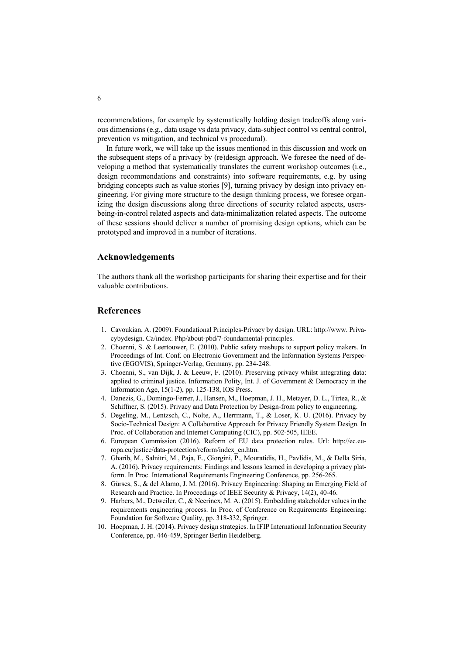recommendations, for example by systematically holding design tradeoffs along various dimensions (e.g., data usage vs data privacy, data-subject control vs central control, prevention vs mitigation, and technical vs procedural).

In future work, we will take up the issues mentioned in this discussion and work on the subsequent steps of a privacy by (re)design approach. We foresee the need of developing a method that systematically translates the current workshop outcomes (i.e., design recommendations and constraints) into software requirements, e.g. by using bridging concepts such as value stories [9], turning privacy by design into privacy engineering. For giving more structure to the design thinking process, we foresee organizing the design discussions along three directions of security related aspects, usersbeing-in-control related aspects and data-minimalization related aspects. The outcome of these sessions should deliver a number of promising design options, which can be prototyped and improved in a number of iterations.

#### **Acknowledgements**

The authors thank all the workshop participants for sharing their expertise and for their valuable contributions.

## **References**

- 1. Cavoukian, A. (2009). Foundational Principles-Privacy by design. URL: http://www. Privacybydesign. Ca/index. Php/about-pbd/7-foundamental-principles.
- 2. Choenni, S. & Leertouwer, E. (2010). Public safety mashups to support policy makers. In Proceedings of Int. Conf. on Electronic Government and the Information Systems Perspective (EGOVIS), Springer-Verlag, Germany, pp. 234-248.
- 3. Choenni, S., van Dijk, J. & Leeuw, F. (2010). Preserving privacy whilst integrating data: applied to criminal justice. Information Polity, Int. J. of Government  $\&$  Democracy in the Information Age, 15(1-2), pp. 125-138, IOS Press.
- 4. Danezis, G., Domingo-Ferrer, J., Hansen, M., Hoepman, J. H., Metayer, D. L., Tirtea, R., & Schiffner, S. (2015). Privacy and Data Protection by Design-from policy to engineering.
- 5. Degeling, M., Lentzsch, C., Nolte, A., Herrmann, T., & Loser, K. U. (2016). Privacy by Socio-Technical Design: A Collaborative Approach for Privacy Friendly System Design. In Proc. of Collaboration and Internet Computing (CIC), pp. 502-505, IEEE.
- 6. European Commission (2016). Reform of EU data protection rules. Url: http://ec.europa.eu/justice/data-protection/reform/index\_en.htm.
- 7. Gharib, M., Salnitri, M., Paja, E., Giorgini, P., Mouratidis, H., Pavlidis, M., & Della Siria, A. (2016). Privacy requirements: Findings and lessons learned in developing a privacy platform. In Proc. International Requirements Engineering Conference, pp. 256-265.
- 8. Gürses, S., & del Alamo, J. M. (2016). Privacy Engineering: Shaping an Emerging Field of Research and Practice. In Proceedings of IEEE Security & Privacy, 14(2), 40-46.
- 9. Harbers, M., Detweiler, C., & Neerincx, M. A. (2015). Embedding stakeholder values in the requirements engineering process. In Proc. of Conference on Requirements Engineering: Foundation for Software Quality, pp. 318-332, Springer.
- 10. Hoepman, J. H. (2014). Privacy design strategies. In IFIP International Information Security Conference, pp. 446-459, Springer Berlin Heidelberg.